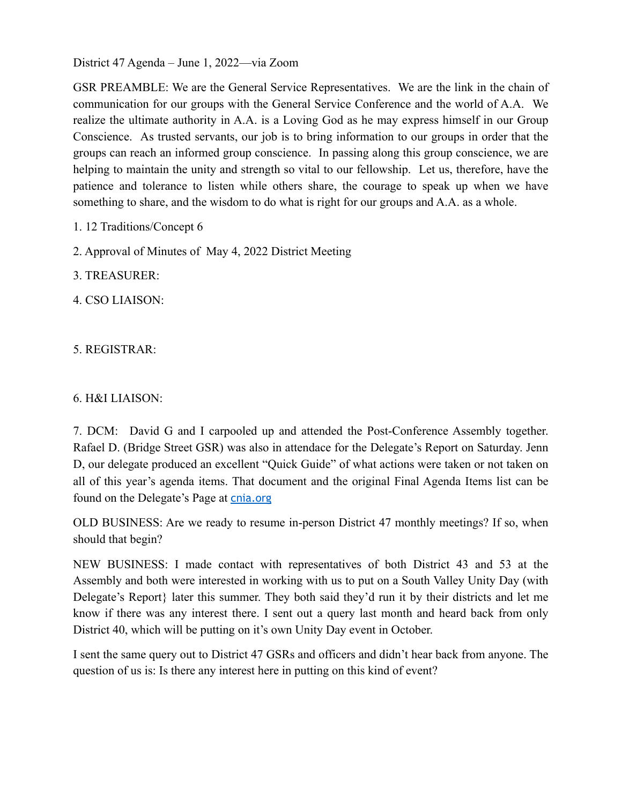District 47 Agenda – June 1, 2022—via Zoom

GSR PREAMBLE: We are the General Service Representatives. We are the link in the chain of communication for our groups with the General Service Conference and the world of A.A. We realize the ultimate authority in A.A. is a Loving God as he may express himself in our Group Conscience. As trusted servants, our job is to bring information to our groups in order that the groups can reach an informed group conscience. In passing along this group conscience, we are helping to maintain the unity and strength so vital to our fellowship. Let us, therefore, have the patience and tolerance to listen while others share, the courage to speak up when we have something to share, and the wisdom to do what is right for our groups and A.A. as a whole.

- 1. 12 Traditions/Concept 6
- 2. Approval of Minutes of May 4, 2022 District Meeting
- 3. TREASURER:
- 4. CSO LIAISON:
- 5. REGISTRAR:

## 6. H&I LIAISON:

7. DCM: David G and I carpooled up and attended the Post-Conference Assembly together. Rafael D. (Bridge Street GSR) was also in attendace for the Delegate's Report on Saturday. Jenn D, our delegate produced an excellent "Quick Guide" of what actions were taken or not taken on all of this year's agenda items. That document and the original Final Agenda Items list can be found on the Delegate's Page at [cnia.org](http://cnia.org)

OLD BUSINESS: Are we ready to resume in-person District 47 monthly meetings? If so, when should that begin?

NEW BUSINESS: I made contact with representatives of both District 43 and 53 at the Assembly and both were interested in working with us to put on a South Valley Unity Day (with Delegate's Report} later this summer. They both said they'd run it by their districts and let me know if there was any interest there. I sent out a query last month and heard back from only District 40, which will be putting on it's own Unity Day event in October.

I sent the same query out to District 47 GSRs and officers and didn't hear back from anyone. The question of us is: Is there any interest here in putting on this kind of event?